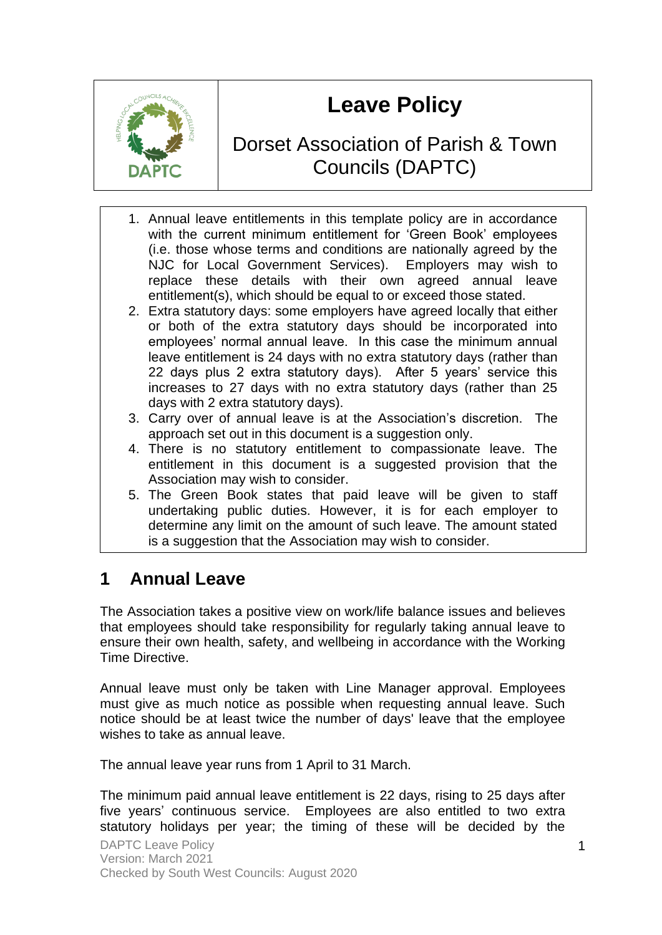# **Leave Policy**

# Dorset Association of Parish & Town Councils (DAPTC)

- 1. Annual leave entitlements in this template policy are in accordance with the current minimum entitlement for 'Green Book' employees (i.e. those whose terms and conditions are nationally agreed by the NJC for Local Government Services). Employers may wish to replace these details with their own agreed annual leave entitlement(s), which should be equal to or exceed those stated.
- 2. Extra statutory days: some employers have agreed locally that either or both of the extra statutory days should be incorporated into employees' normal annual leave. In this case the minimum annual leave entitlement is 24 days with no extra statutory days (rather than 22 days plus 2 extra statutory days). After 5 years' service this increases to 27 days with no extra statutory days (rather than 25 days with 2 extra statutory days).
- 3. Carry over of annual leave is at the Association's discretion. The approach set out in this document is a suggestion only.
- 4. There is no statutory entitlement to compassionate leave. The entitlement in this document is a suggested provision that the Association may wish to consider.
- 5. The Green Book states that paid leave will be given to staff undertaking public duties. However, it is for each employer to determine any limit on the amount of such leave. The amount stated is a suggestion that the Association may wish to consider.

# **1 Annual Leave**

The Association takes a positive view on work/life balance issues and believes that employees should take responsibility for regularly taking annual leave to ensure their own health, safety, and wellbeing in accordance with the Working Time Directive.

Annual leave must only be taken with Line Manager approval. Employees must give as much notice as possible when requesting annual leave. Such notice should be at least twice the number of days' leave that the employee wishes to take as annual leave.

The annual leave year runs from 1 April to 31 March.

The minimum paid annual leave entitlement is 22 days, rising to 25 days after five years' continuous service. Employees are also entitled to two extra statutory holidays per year; the timing of these will be decided by the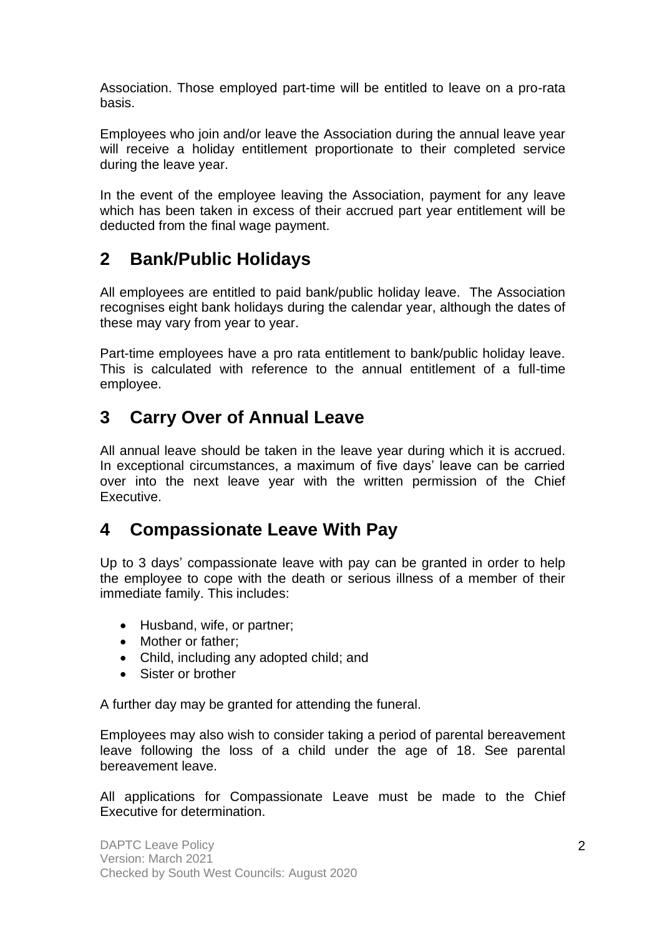Association. Those employed part-time will be entitled to leave on a pro-rata basis.

Employees who join and/or leave the Association during the annual leave year will receive a holiday entitlement proportionate to their completed service during the leave year.

In the event of the employee leaving the Association, payment for any leave which has been taken in excess of their accrued part year entitlement will be deducted from the final wage payment.

# **2 Bank/Public Holidays**

All employees are entitled to paid bank/public holiday leave. The Association recognises eight bank holidays during the calendar year, although the dates of these may vary from year to year.

Part-time employees have a pro rata entitlement to bank/public holiday leave. This is calculated with reference to the annual entitlement of a full-time employee.

# **3 Carry Over of Annual Leave**

All annual leave should be taken in the leave year during which it is accrued. In exceptional circumstances, a maximum of five days' leave can be carried over into the next leave year with the written permission of the Chief Executive.

# **4 Compassionate Leave With Pay**

Up to 3 days' compassionate leave with pay can be granted in order to help the employee to cope with the death or serious illness of a member of their immediate family. This includes:

- Husband, wife, or partner;
- Mother or father:
- Child, including any adopted child; and
- Sister or brother

A further day may be granted for attending the funeral.

Employees may also wish to consider taking a period of parental bereavement leave following the loss of a child under the age of 18. See parental bereavement leave.

All applications for Compassionate Leave must be made to the Chief Executive for determination.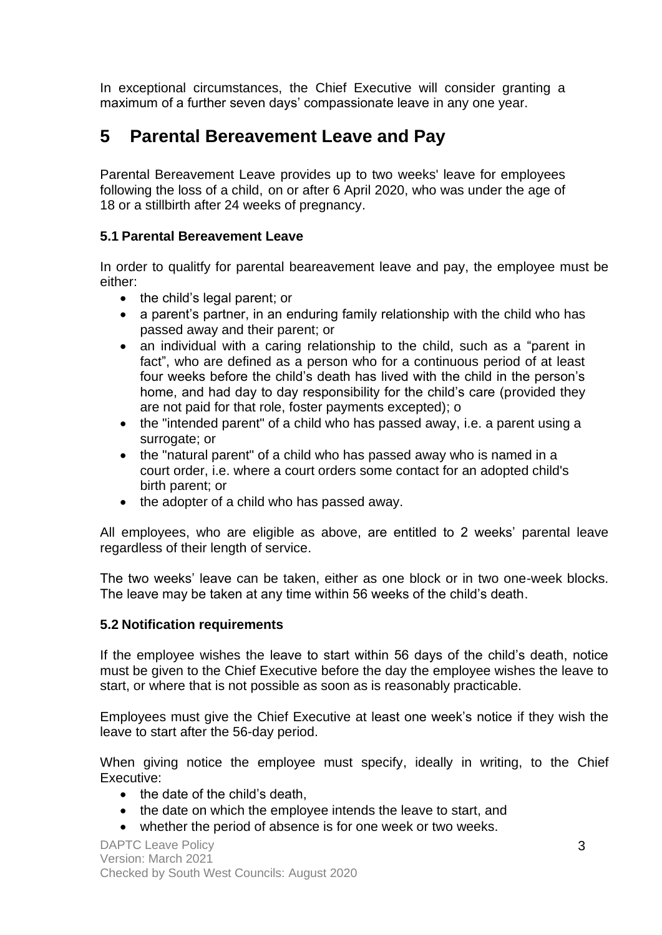In exceptional circumstances, the Chief Executive will consider granting a maximum of a further seven days' compassionate leave in any one year.

# **5 Parental Bereavement Leave and Pay**

Parental Bereavement Leave provides up to two weeks' leave for employees following the loss of a child, on or after 6 April 2020, who was under the age of 18 or a stillbirth after 24 weeks of pregnancy.

#### **5.1 Parental Bereavement Leave**

In order to qualitfy for parental beareavement leave and pay, the employee must be either:

- the child's legal parent; or
- a parent's partner, in an enduring family relationship with the child who has passed away and their parent; or
- an individual with a caring relationship to the child, such as a "parent in fact", who are defined as a person who for a continuous period of at least four weeks before the child's death has lived with the child in the person's home, and had day to day responsibility for the child's care (provided they are not paid for that role, foster payments excepted); o
- the "intended parent" of a child who has passed away, i.e. a parent using a surrogate; or
- the "natural parent" of a child who has passed away who is named in a court order, i.e. where a court orders some contact for an adopted child's birth parent; or
- the adopter of a child who has passed away.

All employees, who are eligible as above, are entitled to 2 weeks' parental leave regardless of their length of service.

The two weeks' leave can be taken, either as one block or in two one-week blocks. The leave may be taken at any time within 56 weeks of the child's death.

#### **5.2 Notification requirements**

If the employee wishes the leave to start within 56 days of the child's death, notice must be given to the Chief Executive before the day the employee wishes the leave to start, or where that is not possible as soon as is reasonably practicable.

Employees must give the Chief Executive at least one week's notice if they wish the leave to start after the 56-day period.

When giving notice the employee must specify, ideally in writing, to the Chief Executive:

- the date of the child's death.
- the date on which the employee intends the leave to start, and
- whether the period of absence is for one week or two weeks.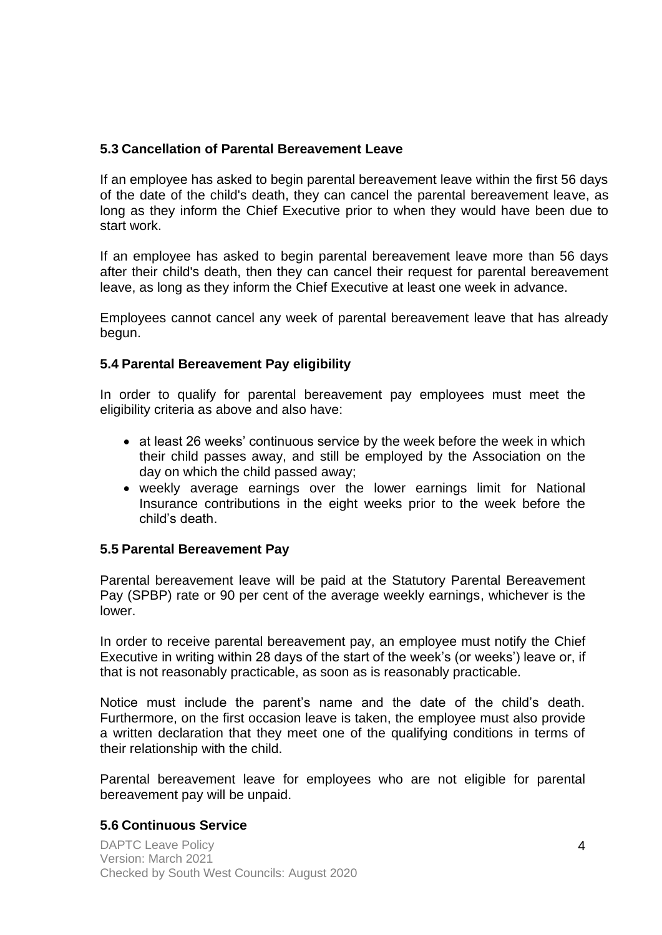#### **5.3 Cancellation of Parental Bereavement Leave**

If an employee has asked to begin parental bereavement leave within the first 56 days of the date of the child's death, they can cancel the parental bereavement leave, as long as they inform the Chief Executive prior to when they would have been due to start work.

If an employee has asked to begin parental bereavement leave more than 56 days after their child's death, then they can cancel their request for parental bereavement leave, as long as they inform the Chief Executive at least one week in advance.

Employees cannot cancel any week of parental bereavement leave that has already begun.

#### **5.4 Parental Bereavement Pay eligibility**

In order to qualify for parental bereavement pay employees must meet the eligibility criteria as above and also have:

- at least 26 weeks' continuous service by the week before the week in which their child passes away, and still be employed by the Association on the day on which the child passed away;
- weekly average earnings over the lower earnings limit for National Insurance contributions in the eight weeks prior to the week before the child's death.

#### **5.5 Parental Bereavement Pay**

Parental bereavement leave will be paid at the Statutory Parental Bereavement Pay (SPBP) rate or 90 per cent of the average weekly earnings, whichever is the lower.

In order to receive parental bereavement pay, an employee must notify the Chief Executive in writing within 28 days of the start of the week's (or weeks') leave or, if that is not reasonably practicable, as soon as is reasonably practicable.

Notice must include the parent's name and the date of the child's death. Furthermore, on the first occasion leave is taken, the employee must also provide a written declaration that they meet one of the qualifying conditions in terms of their relationship with the child.

Parental bereavement leave for employees who are not eligible for parental bereavement pay will be unpaid.

#### **5.6 Continuous Service**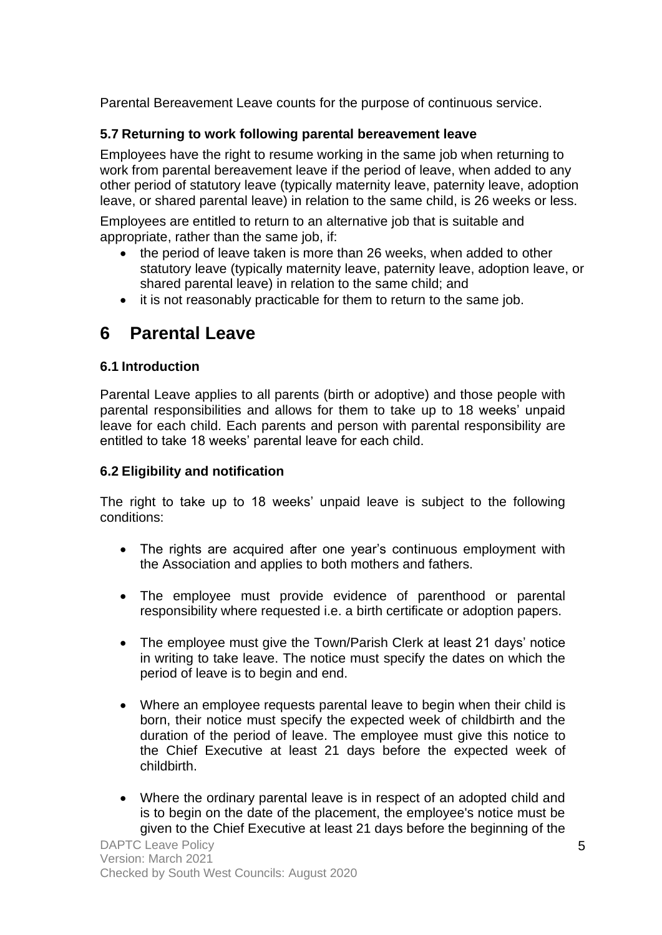Parental Bereavement Leave counts for the purpose of continuous service.

### **5.7 Returning to work following parental bereavement leave**

Employees have the right to resume working in the same job when returning to work from parental bereavement leave if the period of leave, when added to any other period of statutory leave (typically maternity leave, paternity leave, adoption leave, or shared parental leave) in relation to the same child, is 26 weeks or less.

Employees are entitled to return to an alternative job that is suitable and appropriate, rather than the same job, if:

- the period of leave taken is more than 26 weeks, when added to other statutory leave (typically maternity leave, paternity leave, adoption leave, or shared parental leave) in relation to the same child; and
- it is not reasonably practicable for them to return to the same job.

# **6 Parental Leave**

#### **6.1 Introduction**

Parental Leave applies to all parents (birth or adoptive) and those people with parental responsibilities and allows for them to take up to 18 weeks' unpaid leave for each child. Each parents and person with parental responsibility are entitled to take 18 weeks' parental leave for each child.

#### **6.2 Eligibility and notification**

The right to take up to 18 weeks' unpaid leave is subject to the following conditions:

- The rights are acquired after one year's continuous employment with the Association and applies to both mothers and fathers.
- The employee must provide evidence of parenthood or parental responsibility where requested i.e. a birth certificate or adoption papers.
- The employee must give the Town/Parish Clerk at least 21 days' notice in writing to take leave. The notice must specify the dates on which the period of leave is to begin and end.
- Where an employee requests parental leave to begin when their child is born, their notice must specify the expected week of childbirth and the duration of the period of leave. The employee must give this notice to the Chief Executive at least 21 days before the expected week of childbirth.
- Where the ordinary parental leave is in respect of an adopted child and is to begin on the date of the placement, the employee's notice must be given to the Chief Executive at least 21 days before the beginning of the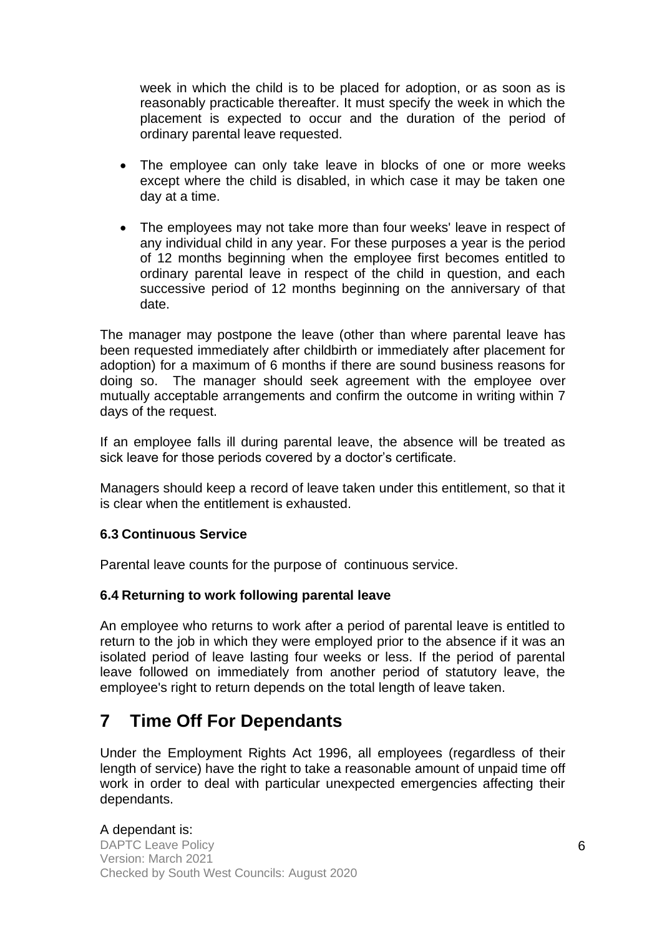week in which the child is to be placed for adoption, or as soon as is reasonably practicable thereafter. It must specify the week in which the placement is expected to occur and the duration of the period of ordinary parental leave requested.

- The employee can only take leave in blocks of one or more weeks except where the child is disabled, in which case it may be taken one day at a time.
- The employees may not take more than four weeks' leave in respect of any individual child in any year. For these purposes a year is the period of 12 months beginning when the employee first becomes entitled to ordinary parental leave in respect of the child in question, and each successive period of 12 months beginning on the anniversary of that date.

The manager may postpone the leave (other than where parental leave has been requested immediately after childbirth or immediately after placement for adoption) for a maximum of 6 months if there are sound business reasons for doing so. The manager should seek agreement with the employee over mutually acceptable arrangements and confirm the outcome in writing within 7 days of the request.

If an employee falls ill during parental leave, the absence will be treated as sick leave for those periods covered by a doctor's certificate.

Managers should keep a record of leave taken under this entitlement, so that it is clear when the entitlement is exhausted.

#### **6.3 Continuous Service**

Parental leave counts for the purpose of continuous service.

#### **6.4 Returning to work following parental leave**

An employee who returns to work after a period of parental leave is entitled to return to the job in which they were employed prior to the absence if it was an isolated period of leave lasting four weeks or less. If the period of parental leave followed on immediately from another period of statutory leave, the employee's right to return depends on the total length of leave taken.

### **7 Time Off For Dependants**

Under the [Employment Rights Act 1996, a](http://www.emplaw.co.uk/load/4frame/era96/era96index.htm)ll employees (regardless of their length of service) have the right to take a reasonable amount of unpaid time off work in order to deal with particular unexpected emergencies affecting their dependants.

#### A dependant is:

DAPTC Leave Policy Version: March 2021 Checked by South West Councils: August 2020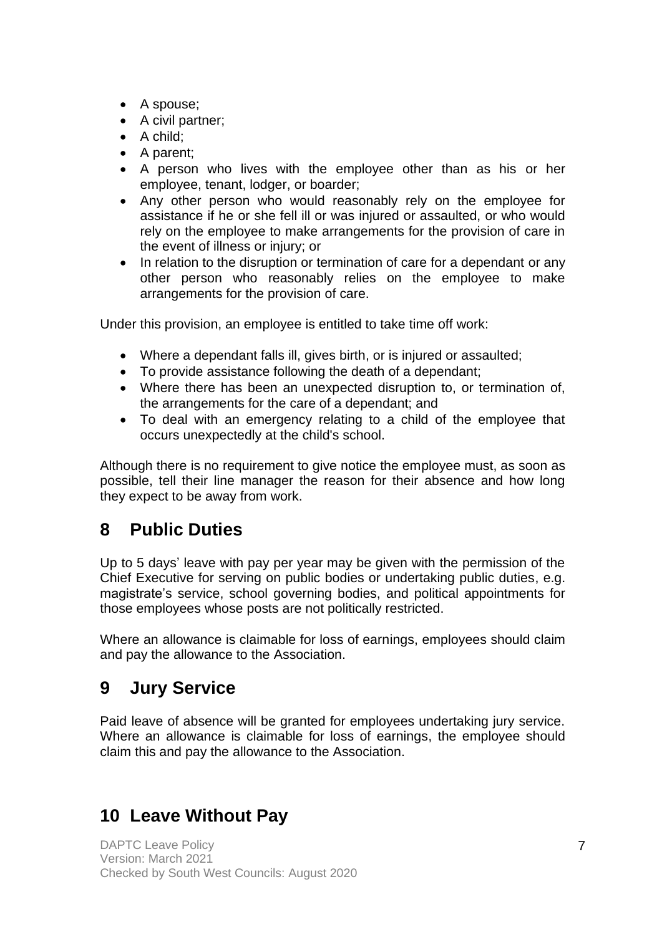- A spouse;
- A civil partner;
- A child;
- A parent;
- A person who lives with the employee other than as his or her employee, tenant, lodger, or boarder;
- Any other person who would reasonably rely on the employee for assistance if he or she fell ill or was injured or assaulted, or who would rely on the employee to make arrangements for the provision of care in the event of illness or injury; or
- In relation to the disruption or termination of care for a dependant or any other person who reasonably relies on the employee to make arrangements for the provision of care.

Under this provision, an employee is entitled to take time off work:

- Where a dependant falls ill, gives birth, or is injured or assaulted;
- To provide assistance following the death of a dependant;
- Where there has been an unexpected disruption to, or termination of, the arrangements for the care of a dependant; and
- To deal with an emergency relating to a child of the employee that occurs unexpectedly at the child's school.

Although there is no requirement to give notice the employee must, as soon as possible, tell their line manager the reason for their absence and how long they expect to be away from work.

# **8 Public Duties**

Up to 5 days' leave with pay per year may be given with the permission of the Chief Executive for serving on public bodies or undertaking public duties, e.g. magistrate's service, school governing bodies, and political appointments for those employees whose posts are not politically restricted.

Where an allowance is claimable for loss of earnings, employees should claim and pay the allowance to the Association.

# **9 Jury Service**

Paid leave of absence will be granted for employees undertaking jury service. Where an allowance is claimable for loss of earnings, the employee should claim this and pay the allowance to the Association.

# **10 Leave Without Pay**